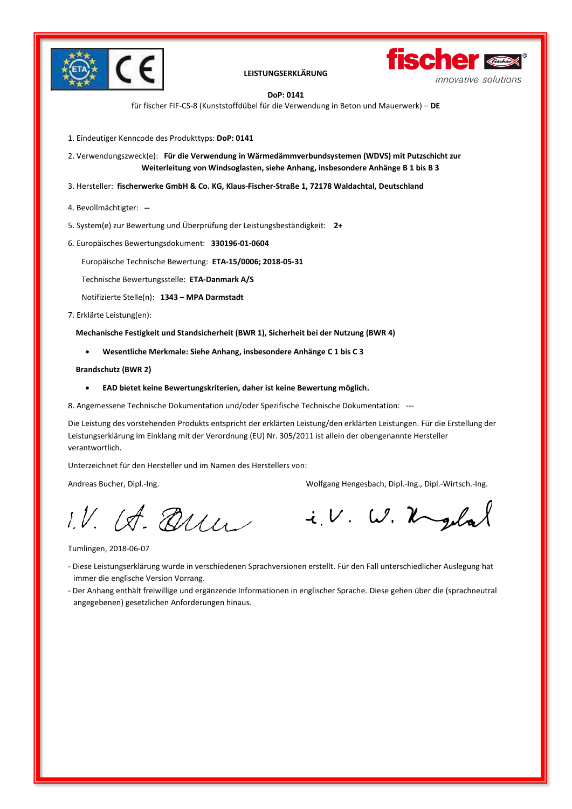

#### **LEISTUNGSERKLÄRUNG**



#### **DoP: 0141**

für fischer FIF-CS-8 (Kunststoffdübel für die Verwendung in Beton und Mauerwerk) – **DE**

- 1. Eindeutiger Kenncode des Produkttyps: **DoP: 0141**
- 2. Verwendungszweck(e): **Für die Verwendung in Wärmedämmverbundsystemen (WDVS) mit Putzschicht zur Weiterleitung von Windsoglasten, siehe Anhang, insbesondere Anhänge B 1 bis B 3**
- 3. Hersteller: **fischerwerke GmbH & Co. KG, Klaus-Fischer-Straße 1, 72178 Waldachtal, Deutschland**
- 4. Bevollmächtigter: **--**
- 5. System(e) zur Bewertung und Überprüfung der Leistungsbeständigkeit: **2+**
- 6. Europäisches Bewertungsdokument: **330196-01-0604**

Europäische Technische Bewertung: **ETA-15/0006; 2018-05-31**

Technische Bewertungsstelle: **ETA-Danmark A/S**

Notifizierte Stelle(n): **1343 – MPA Darmstadt**

7. Erklärte Leistung(en):

 **Mechanische Festigkeit und Standsicherheit (BWR 1), Sicherheit bei der Nutzung (BWR 4)** 

• **Wesentliche Merkmale: Siehe Anhang, insbesondere Anhänge C 1 bis C 3** 

 **Brandschutz (BWR 2)** 

• **EAD bietet keine Bewertungskriterien, daher ist keine Bewertung möglich.**

8. Angemessene Technische Dokumentation und/oder Spezifische Technische Dokumentation: ---

Die Leistung des vorstehenden Produkts entspricht der erklärten Leistung/den erklärten Leistungen. Für die Erstellung der Leistungserklärung im Einklang mit der Verordnung (EU) Nr. 305/2011 ist allein der obengenannte Hersteller verantwortlich.

Unterzeichnet für den Hersteller und im Namen des Herstellers von:

Andreas Bucher, Dipl.-Ing. Wolfgang Hengesbach, Dipl.-Ing., Dipl.-Wirtsch.-Ing.

1.V. IA. Qui

i.V. W. Ugelal

Tumlingen, 2018-06-07

- Diese Leistungserklärung wurde in verschiedenen Sprachversionen erstellt. Für den Fall unterschiedlicher Auslegung hat immer die englische Version Vorrang.
- Der Anhang enthält freiwillige und ergänzende Informationen in englischer Sprache. Diese gehen über die (sprachneutral angegebenen) gesetzlichen Anforderungen hinaus.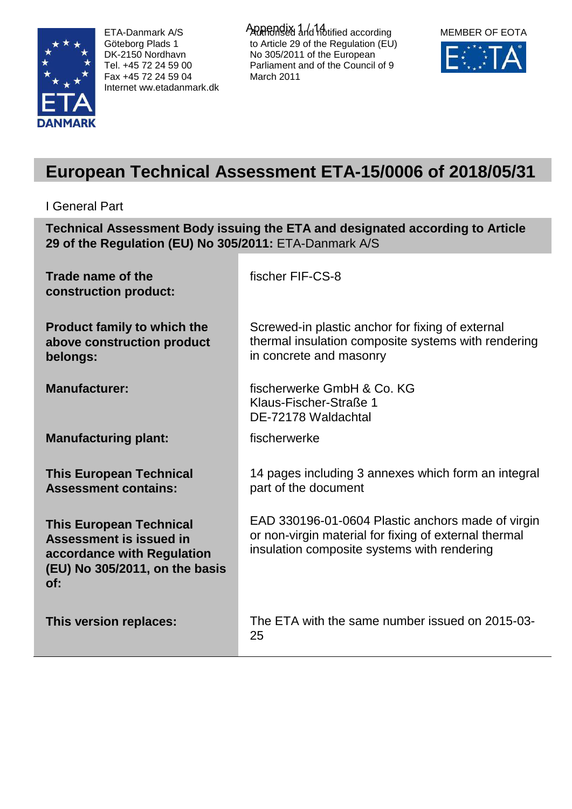

ETA-Danmark A/S Göteborg Plads 1 DK-2150 Nordhavn Tel. +45 72 24 59 00 Fax +45 72 24 59 04 Internet ww.etadanmark.dk ARIRENDIX 1/d 14 tified according to Article 29 of the Regulation (EU) No 305/2011 of the European Parliament and of the Council of 9 March 2011



# **European Technical Assessment ETA-15/0006 of 2018/05/31**

## I General Part

**Technical Assessment Body issuing the ETA and designated according to Article 29 of the Regulation (EU) No 305/2011:** ETA-Danmark A/S

| Trade name of the<br>construction product:                                                                                       | fischer FIF-CS-8                                                                                                                                          |
|----------------------------------------------------------------------------------------------------------------------------------|-----------------------------------------------------------------------------------------------------------------------------------------------------------|
| <b>Product family to which the</b><br>above construction product<br>belongs:                                                     | Screwed-in plastic anchor for fixing of external<br>thermal insulation composite systems with rendering<br>in concrete and masonry                        |
| <b>Manufacturer:</b>                                                                                                             | fischerwerke GmbH & Co. KG<br>Klaus-Fischer-Straße 1<br>DE-72178 Waldachtal                                                                               |
| <b>Manufacturing plant:</b>                                                                                                      | fischerwerke                                                                                                                                              |
| <b>This European Technical</b><br><b>Assessment contains:</b>                                                                    | 14 pages including 3 annexes which form an integral<br>part of the document                                                                               |
| <b>This European Technical</b><br>Assessment is issued in<br>accordance with Regulation<br>(EU) No 305/2011, on the basis<br>of: | EAD 330196-01-0604 Plastic anchors made of virgin<br>or non-virgin material for fixing of external thermal<br>insulation composite systems with rendering |
| This version replaces:                                                                                                           | The ETA with the same number issued on 2015-03-<br>25                                                                                                     |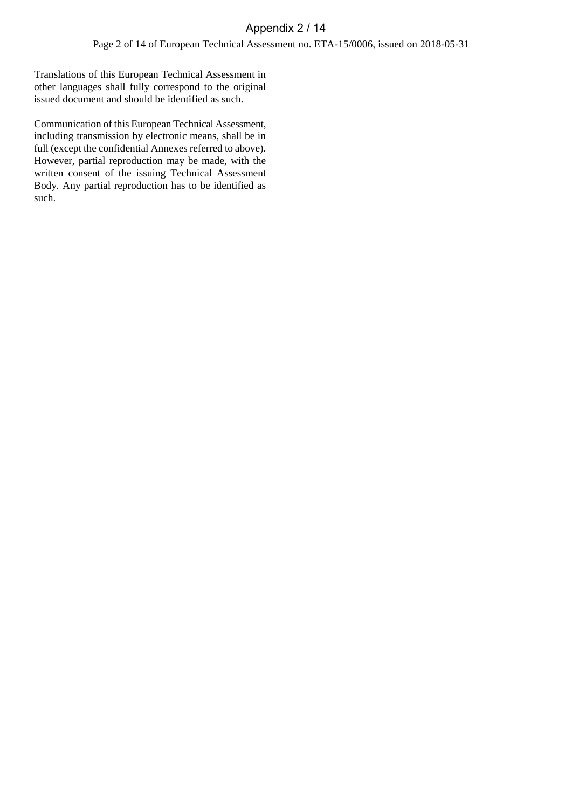Page 2 of 14 of European Technical Assessment no. ETA-15/0006, issued on 2018-05-31

Translations of this European Technical Assessment in other languages shall fully correspond to the original issued document and should be identified as such.

Communication of this European Technical Assessment, including transmission by electronic means, shall be in full (except the confidential Annexes referred to above). However, partial reproduction may be made, with the written consent of the issuing Technical Assessment Body. Any partial reproduction has to be identified as such.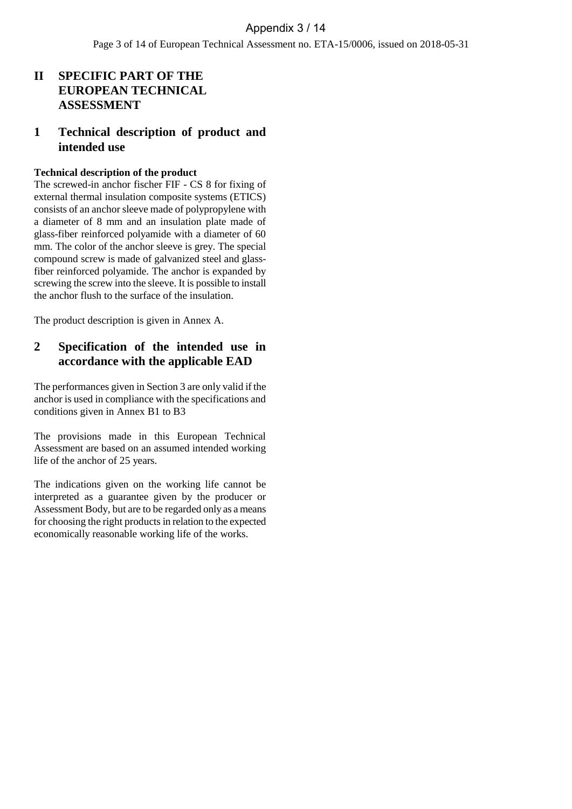Page 3 of 14 of European Technical Assessment no. ETA-15/0006, issued on 2018-05-31

## **II SPECIFIC PART OF THE EUROPEAN TECHNICAL ASSESSMENT**

## **1 Technical description of product and intended use**

#### **Technical description of the product**

The screwed-in anchor fischer FIF - CS 8 for fixing of external thermal insulation composite systems (ETICS) consists of an anchor sleeve made of polypropylene with a diameter of 8 mm and an insulation plate made of glass-fiber reinforced polyamide with a diameter of 60 mm. The color of the anchor sleeve is grey. The special compound screw is made of galvanized steel and glassfiber reinforced polyamide. The anchor is expanded by screwing the screw into the sleeve. It is possible to install the anchor flush to the surface of the insulation.

The product description is given in Annex A.

## **2 Specification of the intended use in accordance with the applicable EAD**

The performances given in Section 3 are only valid if the anchor is used in compliance with the specifications and conditions given in Annex B1 to B3

The provisions made in this European Technical Assessment are based on an assumed intended working life of the anchor of 25 years.

The indications given on the working life cannot be interpreted as a guarantee given by the producer or Assessment Body, but are to be regarded only as a means for choosing the right products in relation to the expected economically reasonable working life of the works.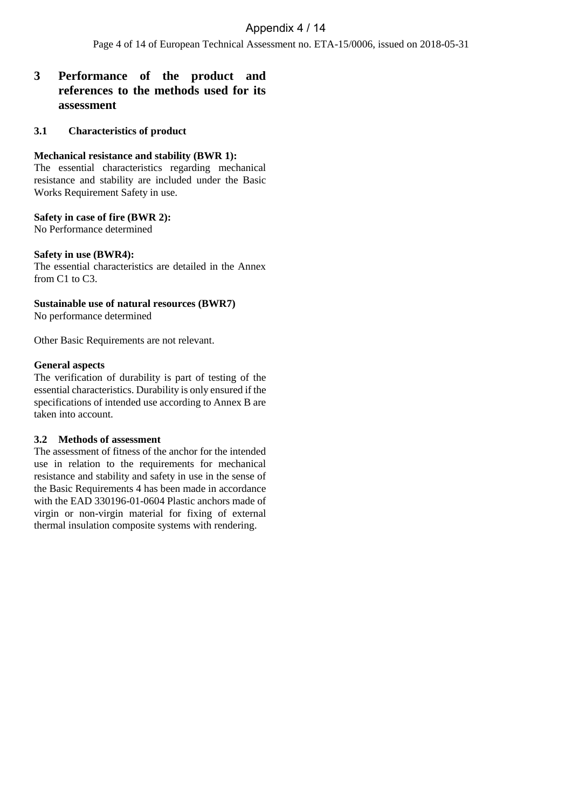## Appendix 4 / 14

Page 4 of 14 of European Technical Assessment no. ETA-15/0006, issued on 2018-05-31

## **3 Performance of the product and references to the methods used for its assessment**

#### **3.1 Characteristics of product**

#### **Mechanical resistance and stability (BWR 1):**

The essential characteristics regarding mechanical resistance and stability are included under the Basic Works Requirement Safety in use.

#### **Safety in case of fire (BWR 2):**

No Performance determined

#### **Safety in use (BWR4):**

The essential characteristics are detailed in the Annex from C1 to C3.

## **Sustainable use of natural resources (BWR7)**

No performance determined

Other Basic Requirements are not relevant.

#### **General aspects**

The verification of durability is part of testing of the essential characteristics. Durability is only ensured if the specifications of intended use according to Annex B are taken into account.

#### **3.2 Methods of assessment**

The assessment of fitness of the anchor for the intended use in relation to the requirements for mechanical resistance and stability and safety in use in the sense of the Basic Requirements 4 has been made in accordance with the EAD 330196-01-0604 Plastic anchors made of virgin or non-virgin material for fixing of external thermal insulation composite systems with rendering.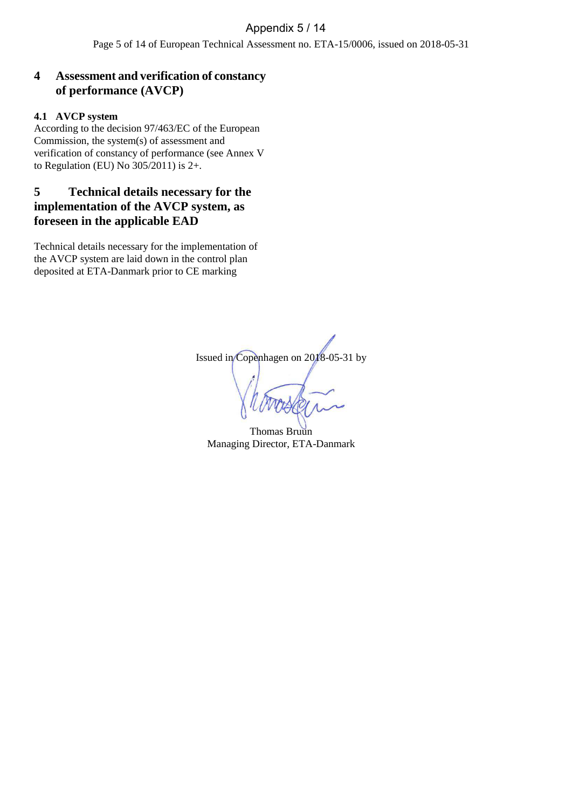Page 5 of 14 of European Technical Assessment no. ETA-15/0006, issued on 2018-05-31

## **4 Assessment and verification of constancy of performance (AVCP)**

#### **4.1 AVCP system**

According to the decision 97/463/EC of the European Commission, the system(s) of assessment and verification of constancy of performance (see Annex V to Regulation (EU) No 305/2011) is 2+.

## **5 Technical details necessary for the implementation of the AVCP system, as foreseen in the applicable EAD**

Technical details necessary for the implementation of the AVCP system are laid down in the control plan deposited at ETA-Danmark prior to CE marking

Issued in Copenhagen on 2018-05-31 by

Thomas Bruun Managing Director, ETA-Danmark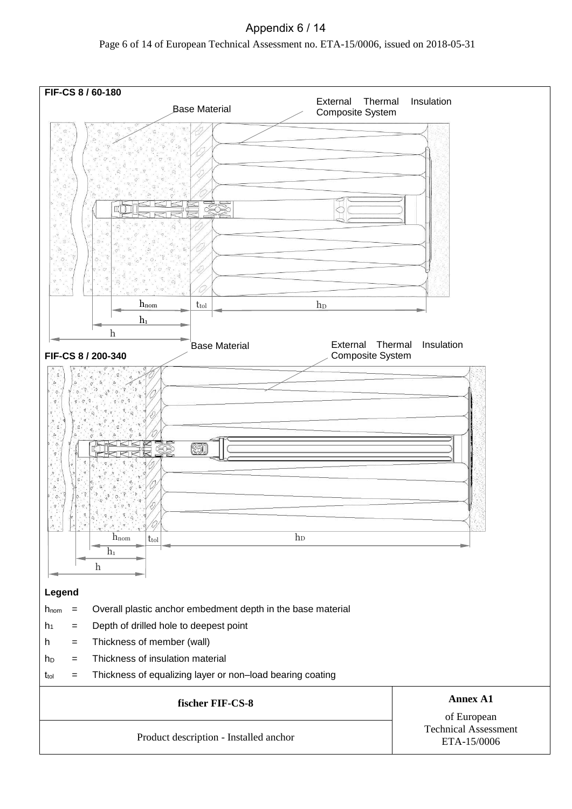Page 6 of 14 of European Technical Assessment no. ETA-15/0006, issued on 2018-05-31

| FIF-CS 8 / 60-180                                                                                                                                                                                                                                                                                                                                                                                      | External                                                    | Thermal<br>Insulation                      |
|--------------------------------------------------------------------------------------------------------------------------------------------------------------------------------------------------------------------------------------------------------------------------------------------------------------------------------------------------------------------------------------------------------|-------------------------------------------------------------|--------------------------------------------|
|                                                                                                                                                                                                                                                                                                                                                                                                        | <b>Base Material</b><br><b>Composite System</b>             |                                            |
| ß<br>$\frac{1}{2}$<br>$\mathbb{S}$<br>$\overline{Q}^*$<br>$\frac{1}{2}$<br>$Q_2$<br>$\overline{\sigma}$<br>$\mathcal{N}$<br>Ø.<br>ğ,<br>$\Delta$<br>۵.<br>$\circledcirc$<br>$\heartsuit$<br>$\forall$<br>ö<br>a.<br>$\alpha$<br>$\Omega$<br>×<br>$\hat{\mathcal{P}}$<br>Ò,<br>$\cdot$ . $\triangleright$<br>1D<br>$\circ$<br>Ö<br>$\sigma$<br>- 17                                                     |                                                             |                                            |
| $\heartsuit$                                                                                                                                                                                                                                                                                                                                                                                           |                                                             |                                            |
| $\mathcal{S}_+$<br>$h_{\rm nom}$                                                                                                                                                                                                                                                                                                                                                                       | $\rm h_D$<br>$t_{tol}$                                      |                                            |
| $h_1$                                                                                                                                                                                                                                                                                                                                                                                                  |                                                             |                                            |
| $\mathbf h$                                                                                                                                                                                                                                                                                                                                                                                            | External Thermal                                            | Insulation                                 |
| FIF-CS 8 / 200-340                                                                                                                                                                                                                                                                                                                                                                                     | <b>Base Material</b><br><b>Composite System</b>             |                                            |
| $\mathcal{P}$<br>$\circ$<br>Ø<br>$\boldsymbol{\triangledown}$ .<br>$^\sigma_\cdot$<br>$\mathcal{P}_i$<br>$\mathfrak{a}$<br>Ą,<br>$\circ$<br>RR<br>$\boldsymbol{\triangledown}$<br>$^\sigma$ .<br>$\sigma_{\rm i}$<br>$\mathfrak{D}$ .<br>$\vec{q}$<br>$\circ$ .<br>$\sigma$ . $\sigma$<br>$\sigma$<br>$\sigma$<br>$\sigma$ .<br>$\delta$<br>$\mathcal{V},$<br>hnom<br>ttol<br>h <sub>1</sub><br>$\,$ h | 250<br>$\,h_{D}$                                            |                                            |
| Legend                                                                                                                                                                                                                                                                                                                                                                                                 |                                                             |                                            |
| hnom<br>$=$<br>Depth of drilled hole to deepest point<br>h <sub>1</sub><br>$\quad \  \  =$                                                                                                                                                                                                                                                                                                             | Overall plastic anchor embedment depth in the base material |                                            |
| Thickness of member (wall)<br>h.<br>$=$                                                                                                                                                                                                                                                                                                                                                                |                                                             |                                            |
| Thickness of insulation material<br>h <sub>D</sub><br>$=$                                                                                                                                                                                                                                                                                                                                              |                                                             |                                            |
| $t_{\text{tol}}$<br>$=$                                                                                                                                                                                                                                                                                                                                                                                | Thickness of equalizing layer or non-load bearing coating   |                                            |
|                                                                                                                                                                                                                                                                                                                                                                                                        | fischer FIF-CS-8                                            | <b>Annex A1</b><br>of European             |
|                                                                                                                                                                                                                                                                                                                                                                                                        | Product description - Installed anchor                      | <b>Technical Assessment</b><br>ETA-15/0006 |

## Appendix 6 / 14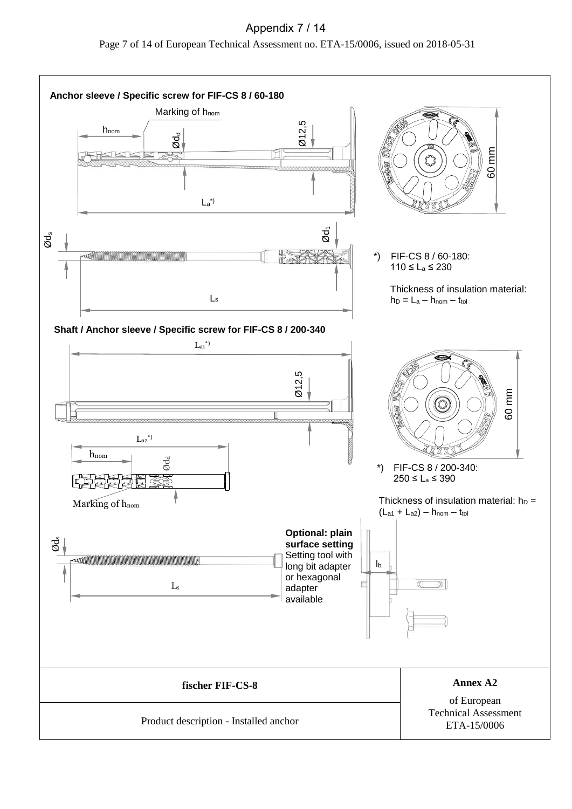Page 7 of 14 of European Technical Assessment no. ETA-15/0006, issued on 2018-05-31 Appendix 7 / 14

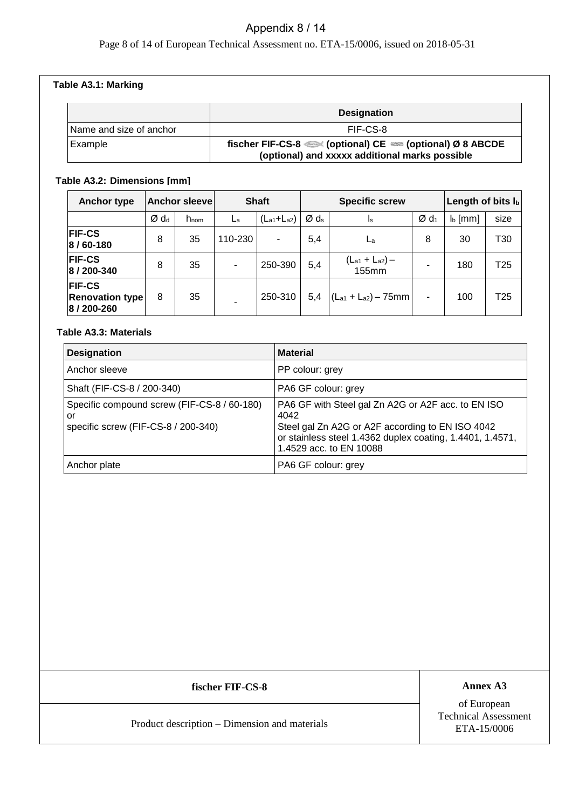## Appendix 8 / 14

Page 8 of 14 of European Technical Assessment no. ETA-15/0006, issued on 2018-05-31

#### **Table A3.1: Marking**

|                         | <b>Designation</b>                                                                                                |
|-------------------------|-------------------------------------------------------------------------------------------------------------------|
| Name and size of anchor | FIF-CS-8                                                                                                          |
| Example                 | fischer FIF-CS-8 $\ll$ (optional) CE $\ll$ (optional) Ø 8 ABCDE<br>(optional) and xxxxx additional marks possible |

#### **Table A3.2: Dimensions [mm]**

| <b>Anchor type</b>                                     |                    | <b>Anchor sleeve</b> |         | <b>Shaft</b>      | <b>Specific screw</b> |                                | Length of bits $I_b$         |           |      |
|--------------------------------------------------------|--------------------|----------------------|---------|-------------------|-----------------------|--------------------------------|------------------------------|-----------|------|
|                                                        | $Ø$ d <sub>d</sub> | hnom                 | La      | $(L_{a1}+L_{a2})$ | Ø ds                  | Is                             | $\varnothing$ d <sub>1</sub> | $Ib$ [mm] | size |
| <b>FIF-CS</b><br>8/60-180                              | 8                  | 35                   | 110-230 | $\blacksquare$    | 5,4                   | La                             | 8                            | 30        | T30  |
| <b>FIF-CS</b><br>8 / 200-340                           | 8                  | 35                   |         | 250-390           | 5,4                   | $(L_{a1} + L_{a2}) -$<br>155mm |                              | 180       | T25  |
| <b>FIF-CS</b><br><b>Renovation type</b><br>8 / 200-260 | 8                  | 35                   |         | 250-310           | 5,4                   | $(L_{a1} + L_{a2}) - 75$ mm    |                              | 100       | T25  |

## **Table A3.3: Materials**

| <b>Designation</b>                                                                       | <b>Material</b>                                                                                                                                                                                        |
|------------------------------------------------------------------------------------------|--------------------------------------------------------------------------------------------------------------------------------------------------------------------------------------------------------|
| Anchor sleeve                                                                            | PP colour: grey                                                                                                                                                                                        |
| Shaft (FIF-CS-8 / 200-340)                                                               | PA6 GF colour: grey                                                                                                                                                                                    |
| Specific compound screw (FIF-CS-8 / 60-180)<br>or<br>specific screw (FIF-CS-8 / 200-340) | PA6 GF with Steel gal Zn A2G or A2F acc. to EN ISO<br>4042<br>Steel gal Zn A2G or A2F according to EN ISO 4042<br>or stainless steel 1.4362 duplex coating, 1.4401, 1.4571,<br>1.4529 acc. to EN 10088 |
| Anchor plate                                                                             | PA6 GF colour: grey                                                                                                                                                                                    |

## **fischer FIF-CS-8** Annex A3

Product description – Dimension and materials ETA-15/0006

of European Technical Assessment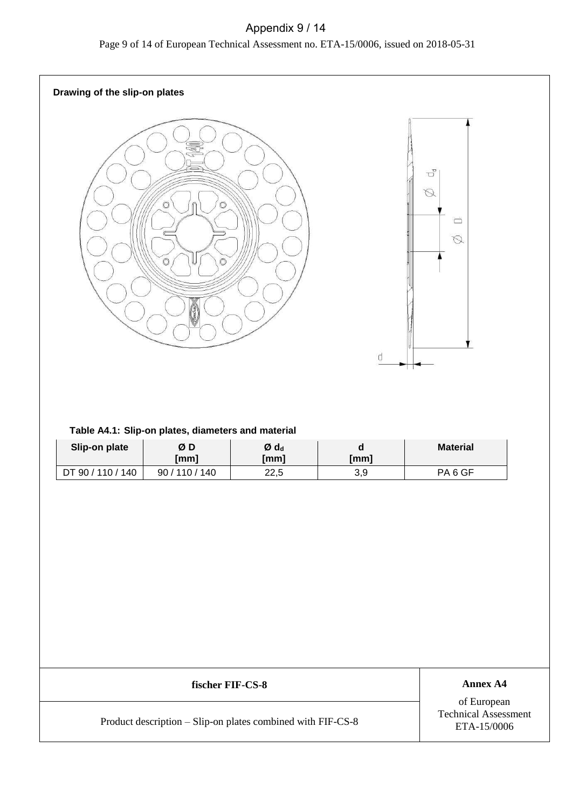## Appendix 9 / 14



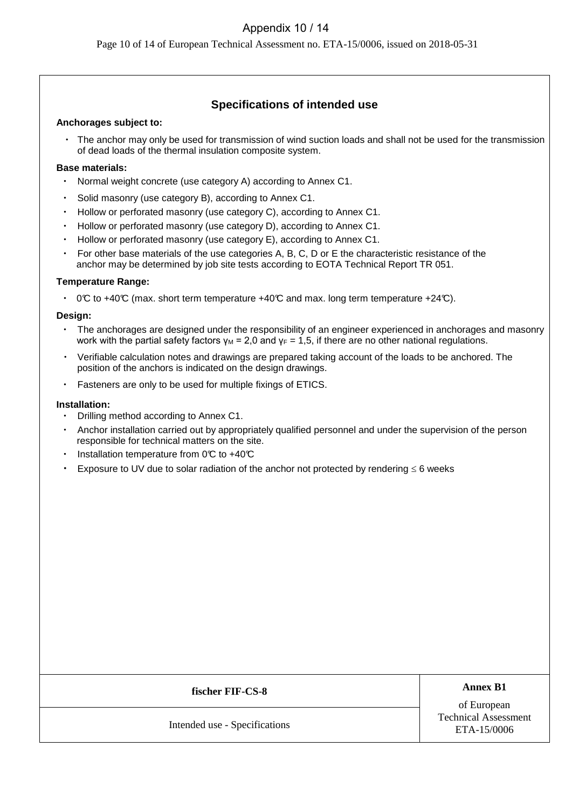## Appendix 10 / 14

Page 10 of 14 of European Technical Assessment no. ETA-15/0006, issued on 2018-05-31

## **Specifications of intended use**

#### **Anchorages subject to:**

 The anchor may only be used for transmission of wind suction loads and shall not be used for the transmission of dead loads of the thermal insulation composite system.

#### **Base materials:**

- Normal weight concrete (use category A) according to Annex C1.
- Solid masonry (use category B), according to Annex C1.
- Hollow or perforated masonry (use category C), according to Annex C1.
- Hollow or perforated masonry (use category D), according to Annex C1.
- Hollow or perforated masonry (use category E), according to Annex C1.
- For other base materials of the use categories A, B, C, D or E the characteristic resistance of the anchor may be determined by job site tests according to EOTA Technical Report TR 051.

#### **Temperature Range:**

 $\cdot$  0°C to +40°C (max. short term temperature +40°C and max. long term temperature +24°C).

#### **Design:**

- The anchorages are designed under the responsibility of an engineer experienced in anchorages and masonry work with the partial safety factors  $\gamma_M = 2.0$  and  $\gamma_F = 1.5$ , if there are no other national regulations.
- Verifiable calculation notes and drawings are prepared taking account of the loads to be anchored. The position of the anchors is indicated on the design drawings.
- Fasteners are only to be used for multiple fixings of ETICS.

#### **Installation:**

- Drilling method according to Annex C1.
- Anchor installation carried out by appropriately qualified personnel and under the supervision of the person responsible for technical matters on the site.
- Installation temperature from  $0^\circ\text{C}$  to +40 $\text{C}$
- Exposure to UV due to solar radiation of the anchor not protected by rendering  $\leq 6$  weeks

## **fischer FIF-CS-8 Annex B1**

Intended use - Specifications ETA-15/0006

of European Technical Assessment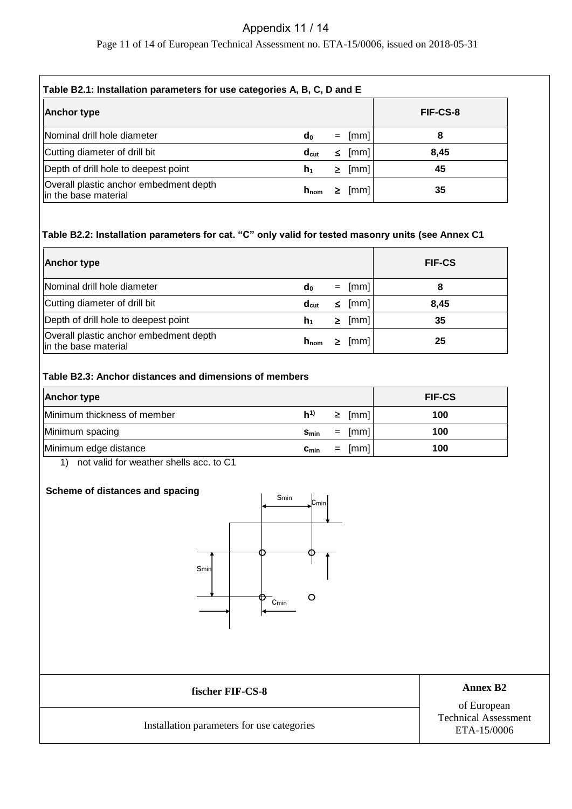## Appendix 11 / 14

Page 11 of 14 of European Technical Assessment no. ETA-15/0006, issued on 2018-05-31

| Table B2.1: Installation parameters for use categories A, B, C, D and E |                               |          |  |  |  |
|-------------------------------------------------------------------------|-------------------------------|----------|--|--|--|
| <b>Anchor type</b>                                                      |                               | FIF-CS-8 |  |  |  |
| INominal drill hole diameter                                            | $=$ [mm]<br>$d_0$             | 8        |  |  |  |
| Cutting diameter of drill bit                                           | [mm]<br>$d_{\text{cut}}$<br>≤ | 8,45     |  |  |  |
| Depth of drill hole to deepest point                                    | [mm]<br>h <sub>1</sub><br>≥   | 45       |  |  |  |
| Overall plastic anchor embedment depth<br>in the base material          | [mm]<br>➤<br>$h_{\text{nom}}$ | 35       |  |  |  |

### **Table B2.2: Installation parameters for cat. "C" only valid for tested masonry units (see Annex C1**

| <b>Anchor type</b>                                             |                               | <b>FIF-CS</b> |
|----------------------------------------------------------------|-------------------------------|---------------|
| Nominal drill hole diameter                                    | $=$ [mm]<br>d <sub>0</sub>    | 8             |
| Cutting diameter of drill bit                                  | $\leq$ [mm]<br>$d_{\rm cut}$  | 8,45          |
| Depth of drill hole to deepest point                           | $\geq$ [mm]<br>h <sub>1</sub> | 35            |
| Overall plastic anchor embedment depth<br>in the base material | $h_{nom} \geq [mm]$           | 25            |

#### **Table B2.3: Anchor distances and dimensions of members**

| <b>Anchor type</b>          |                  |             | <b>FIF-CS</b> |
|-----------------------------|------------------|-------------|---------------|
| Minimum thickness of member | $h^{1}$          | $\geq$ [mm] | 100           |
| Minimum spacing             | Smin             | $=$ [mm]    | 100           |
| Minimum edge distance       | $C_{\text{min}}$ | $=$ [mm]    | 100           |

1) not valid for weather shells acc. to C1

### **Scheme of distances and spacing**



## **fischer FIF-CS-8 Annex B2**

Installation parameters for use categories ETA-15/0006

of European Technical Assessment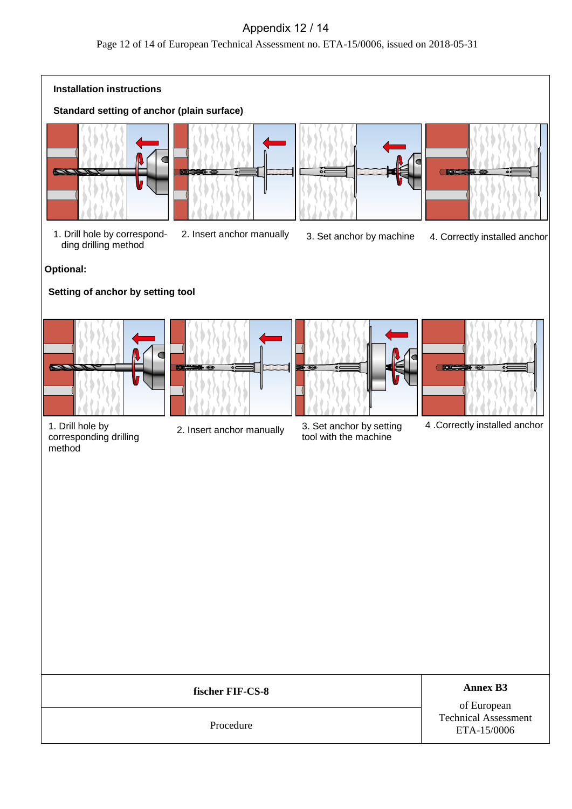## Appendix 12 / 14

Page 12 of 14 of European Technical Assessment no. ETA-15/0006, issued on 2018-05-31

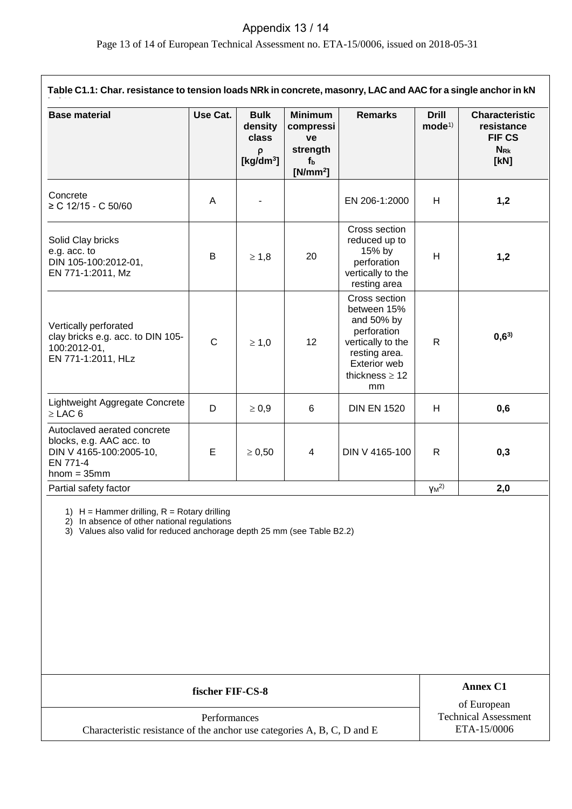## Appendix 13 / 14

Page 13 of 14 of European Technical Assessment no. ETA-15/0006, issued on 2018-05-31

| Table C1.1: Char. resistance to tension loads NRk in concrete, masonry, LAC and AAC for a single anchor in kN<br><b>Base material</b>                                     | Use Cat.     | <b>Bulk</b><br>density<br>class<br>D.<br>[kg/dm $3$ ] | <b>Minimum</b><br>compressi<br>ve<br>strength<br>fь<br>$[N/mm^2]$ | <b>Remarks</b>                                                                                                                                      | <b>Drill</b><br>mode <sup>1</sup> | <b>Characteristic</b><br>resistance<br><b>FIF CS</b><br><b>NRK</b><br>[KN] |
|---------------------------------------------------------------------------------------------------------------------------------------------------------------------------|--------------|-------------------------------------------------------|-------------------------------------------------------------------|-----------------------------------------------------------------------------------------------------------------------------------------------------|-----------------------------------|----------------------------------------------------------------------------|
| Concrete<br>$\geq$ C 12/15 - C 50/60                                                                                                                                      | A            |                                                       |                                                                   | EN 206-1:2000                                                                                                                                       | H                                 | 1,2                                                                        |
| Solid Clay bricks<br>e.g. acc. to<br>DIN 105-100:2012-01,<br>EN 771-1:2011, Mz                                                                                            | B            | $\geq 1,8$                                            | 20                                                                | Cross section<br>reduced up to<br>15% by<br>perforation<br>vertically to the<br>resting area                                                        | H                                 | 1,2                                                                        |
| Vertically perforated<br>clay bricks e.g. acc. to DIN 105-<br>100:2012-01,<br>EN 771-1:2011, HLz                                                                          | $\mathsf{C}$ | $\geq 1,0$                                            | 12                                                                | Cross section<br>between 15%<br>and 50% by<br>perforation<br>vertically to the<br>resting area.<br><b>Exterior web</b><br>thickness $\geq 12$<br>mm | $\mathsf{R}$                      | $0,6^{3}$                                                                  |
| Lightweight Aggregate Concrete<br>$\ge$ LAC 6                                                                                                                             | D            | $\geq 0.9$                                            | 6                                                                 | <b>DIN EN 1520</b>                                                                                                                                  | H                                 | 0,6                                                                        |
| Autoclaved aerated concrete<br>blocks, e.g. AAC acc. to<br>DIN V 4165-100:2005-10,<br>EN 771-4<br>$hnom = 35mm$                                                           | E            | $\geq 0,50$                                           | 4                                                                 | DIN V 4165-100                                                                                                                                      | R                                 | 0,3                                                                        |
| Partial safety factor                                                                                                                                                     |              |                                                       |                                                                   |                                                                                                                                                     | $YM^{2)}$                         | 2,0                                                                        |
| 1) $H =$ Hammer drilling, $R =$ Rotary drilling<br>2) In absence of other national regulations<br>3) Values also valid for reduced anchorage depth 25 mm (see Table B2.2) |              |                                                       |                                                                   |                                                                                                                                                     |                                   |                                                                            |
| fischer FIF-CS-8                                                                                                                                                          |              |                                                       |                                                                   |                                                                                                                                                     |                                   | <b>Annex C1</b><br>of European                                             |
| Performances<br>Characteristic resistance of the anchor use categories A, B, C, D and E                                                                                   |              |                                                       |                                                                   |                                                                                                                                                     |                                   | <b>Technical Assessment</b><br>ETA-15/0006                                 |